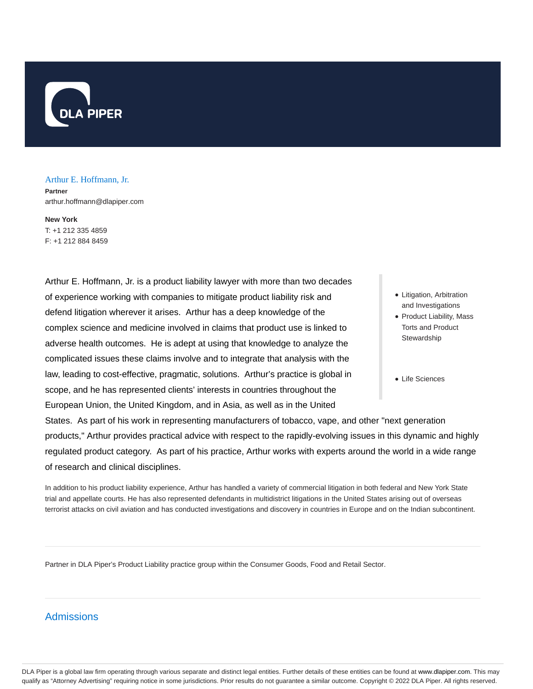

#### Arthur E. Hoffmann, Jr.

**Partner** arthur.hoffmann@dlapiper.com

**New York** T: +1 212 335 4859 F: +1 212 884 8459

Arthur E. Hoffmann, Jr. is a product liability lawyer with more than two decades of experience working with companies to mitigate product liability risk and defend litigation wherever it arises. Arthur has a deep knowledge of the complex science and medicine involved in claims that product use is linked to adverse health outcomes. He is adept at using that knowledge to analyze the complicated issues these claims involve and to integrate that analysis with the law, leading to cost-effective, pragmatic, solutions. Arthur's practice is global in scope, and he has represented clients' interests in countries throughout the European Union, the United Kingdom, and in Asia, as well as in the United

- Litigation, Arbitration and Investigations
- Product Liability, Mass Torts and Product **Stewardship**
- Life Sciences

States. As part of his work in representing manufacturers of tobacco, vape, and other "next generation products," Arthur provides practical advice with respect to the rapidly-evolving issues in this dynamic and highly regulated product category. As part of his practice, Arthur works with experts around the world in a wide range of research and clinical disciplines.

In addition to his product liability experience, Arthur has handled a variety of commercial litigation in both federal and New York State trial and appellate courts. He has also represented defendants in multidistrict litigations in the United States arising out of overseas terrorist attacks on civil aviation and has conducted investigations and discovery in countries in Europe and on the Indian subcontinent.

Partner in DLA Piper's Product Liability practice group within the Consumer Goods, Food and Retail Sector.

# Admissions

DLA Piper is a global law firm operating through various separate and distinct legal entities. Further details of these entities can be found at www.dlapiper.com. This may qualify as "Attorney Advertising" requiring notice in some jurisdictions. Prior results do not guarantee a similar outcome. Copyright © 2022 DLA Piper. All rights reserved.